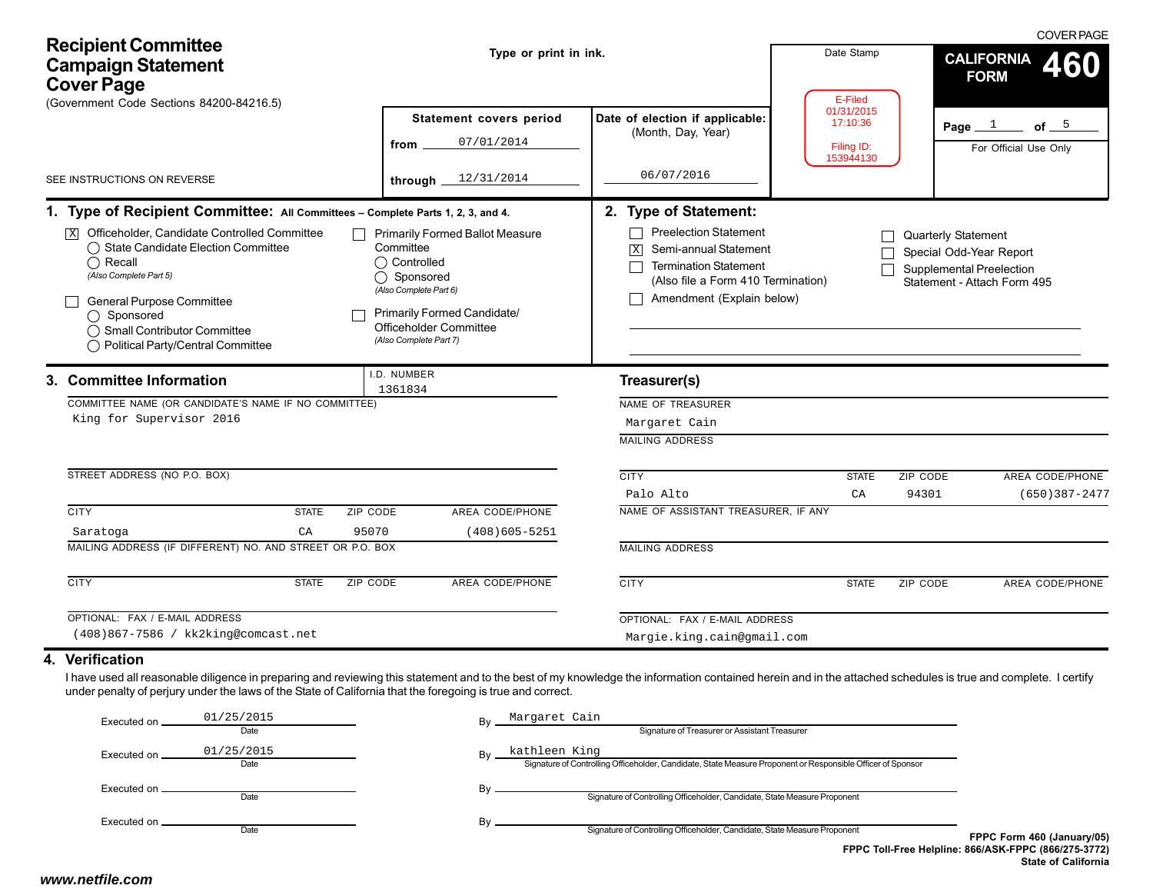| <b>Recipient Committee</b><br><b>Campaign Statement</b><br><b>Cover Page</b>                                                                                                                                                                                                                                                                   | Type or print in ink.                                                                                                                                                                           |                                                                                                                                                                             | Date Stamp<br>E-Filed                             | <b>COVER PAGE</b><br><b>CALIFORNIA</b><br>460<br><b>FORM</b>                                                            |
|------------------------------------------------------------------------------------------------------------------------------------------------------------------------------------------------------------------------------------------------------------------------------------------------------------------------------------------------|-------------------------------------------------------------------------------------------------------------------------------------------------------------------------------------------------|-----------------------------------------------------------------------------------------------------------------------------------------------------------------------------|---------------------------------------------------|-------------------------------------------------------------------------------------------------------------------------|
| (Government Code Sections 84200-84216.5)<br>SEE INSTRUCTIONS ON REVERSE                                                                                                                                                                                                                                                                        | Statement covers period<br>07/01/2014<br>from<br>12/31/2014<br>through _                                                                                                                        | Date of election if applicable:<br>(Month, Day, Year)<br>06/07/2016                                                                                                         | 01/31/2015<br>17:10:36<br>Filing ID:<br>153944130 | of $5$<br>Page $1$<br>For Official Use Only                                                                             |
| 1. Type of Recipient Committee: All Committees - Complete Parts 1, 2, 3, and 4.                                                                                                                                                                                                                                                                |                                                                                                                                                                                                 | 2. Type of Statement:                                                                                                                                                       |                                                   |                                                                                                                         |
| $\boxed{\mathbf{X}}$ Officeholder, Candidate Controlled Committee<br>◯ State Candidate Election Committee<br>$\bigcap$ Recall<br>(Also Complete Part 5)<br>General Purpose Committee<br>$\bigcirc$ Sponsored<br>◯ Small Contributor Committee<br>◯ Political Party/Central Committee                                                           | <b>Primarily Formed Ballot Measure</b><br>Committee<br>◯ Controlled<br>◯ Sponsored<br>(Also Complete Part 6)<br>Primarily Formed Candidate/<br>Officeholder Committee<br>(Also Complete Part 7) | <b>Preelection Statement</b><br>Semi-annual Statement<br>$\vert X \vert$<br><b>Termination Statement</b><br>(Also file a Form 410 Termination)<br>Amendment (Explain below) |                                                   | <b>Quarterly Statement</b><br>Special Odd-Year Report<br><b>Supplemental Preelection</b><br>Statement - Attach Form 495 |
| 3. Committee Information                                                                                                                                                                                                                                                                                                                       | I.D. NUMBER<br>1361834                                                                                                                                                                          | Treasurer(s)                                                                                                                                                                |                                                   |                                                                                                                         |
| COMMITTEE NAME (OR CANDIDATE'S NAME IF NO COMMITTEE)<br>King for Supervisor 2016                                                                                                                                                                                                                                                               |                                                                                                                                                                                                 | NAME OF TREASURER<br>Margaret Cain<br><b>MAILING ADDRESS</b>                                                                                                                |                                                   |                                                                                                                         |
| STREET ADDRESS (NO P.O. BOX)                                                                                                                                                                                                                                                                                                                   |                                                                                                                                                                                                 | <b>CITY</b><br>Palo Alto                                                                                                                                                    | ZIP CODE<br><b>STATE</b><br>94301<br>CA           | AREA CODE/PHONE<br>$(650)$ 387-2477                                                                                     |
| <b>CITY</b><br>ZIP CODE<br><b>STATE</b><br>CA<br>95070<br>Saratoga                                                                                                                                                                                                                                                                             | AREA CODE/PHONE<br>$(408)605 - 5251$                                                                                                                                                            | NAME OF ASSISTANT TREASURER, IF ANY                                                                                                                                         |                                                   |                                                                                                                         |
| MAILING ADDRESS (IF DIFFERENT) NO. AND STREET OR P.O. BOX                                                                                                                                                                                                                                                                                      |                                                                                                                                                                                                 | <b>MAILING ADDRESS</b>                                                                                                                                                      |                                                   |                                                                                                                         |
| <b>CITY</b><br><b>STATE</b><br>ZIP CODE                                                                                                                                                                                                                                                                                                        | <b>AREA CODE/PHONE</b>                                                                                                                                                                          | <b>CITY</b>                                                                                                                                                                 | ZIP CODE<br><b>STATE</b>                          | AREA CODE/PHONE                                                                                                         |
| OPTIONAL: FAX / E-MAIL ADDRESS<br>(408)867-7586 / kk2king@comcast.net                                                                                                                                                                                                                                                                          |                                                                                                                                                                                                 | OPTIONAL: FAX / E-MAIL ADDRESS<br>Margie.king.cain@gmail.com                                                                                                                |                                                   |                                                                                                                         |
| 4. Verification<br>I have used all reasonable diligence in preparing and reviewing this statement and to the best of my knowledge the information contained herein and in the attached schedules is true and complete. I certify<br>under penalty of perjury under the laws of the State of California that the foregoing is true and correct. |                                                                                                                                                                                                 |                                                                                                                                                                             |                                                   |                                                                                                                         |
| 01/25/2015<br>Executed on.<br>Date                                                                                                                                                                                                                                                                                                             | Margaret Cain                                                                                                                                                                                   | Signature of Treasurer or Assistant Treasurer                                                                                                                               |                                                   |                                                                                                                         |
| 01/25/2015<br>Executed on.<br>Date                                                                                                                                                                                                                                                                                                             | kathleen King                                                                                                                                                                                   | Signature of Controlling Officeholder, Candidate, State Measure Proponent or Responsible Officer of Sponsor                                                                 |                                                   |                                                                                                                         |
| Executed on _<br>Date                                                                                                                                                                                                                                                                                                                          | By                                                                                                                                                                                              | Signature of Controlling Officeholder, Candidate, State Measure Proponent                                                                                                   |                                                   |                                                                                                                         |
| Executed on.<br>Date                                                                                                                                                                                                                                                                                                                           | By                                                                                                                                                                                              | Signature of Controlling Officeholder, Candidate, State Measure Proponent                                                                                                   |                                                   | FPPC Form 460 (January/05)<br>FPPC Toll-Free Helpline: 866/ASK-FPPC (866/275-3772)<br><b>State of California</b>        |
| www.netfile.com                                                                                                                                                                                                                                                                                                                                |                                                                                                                                                                                                 |                                                                                                                                                                             |                                                   |                                                                                                                         |

### **4. Verification**

| Executed on.  | 01/25/2015 | Bv | Margaret Cain                                                                                               |                |
|---------------|------------|----|-------------------------------------------------------------------------------------------------------------|----------------|
|               | Date       |    | Signature of Treasurer or Assistant Treasurer                                                               |                |
| Executed on   | 01/25/2015 | Bv | kathleen King                                                                                               |                |
|               | Date       |    | Signature of Controlling Officeholder, Candidate, State Measure Proponent or Responsible Officer of Sponsor |                |
| Executed on _ |            | Bv |                                                                                                             |                |
|               | Date       |    | Signature of Controlling Officeholder, Candidate, State Measure Proponent                                   |                |
| Executed on . |            | Bv |                                                                                                             |                |
|               | Date       |    | Signature of Controlling Officeholder, Candidate, State Measure Proponent                                   | <b>FPPC Fo</b> |
|               |            |    | <b>FPPC Toll-Free Helpline: 866/ASK-I</b>                                                                   |                |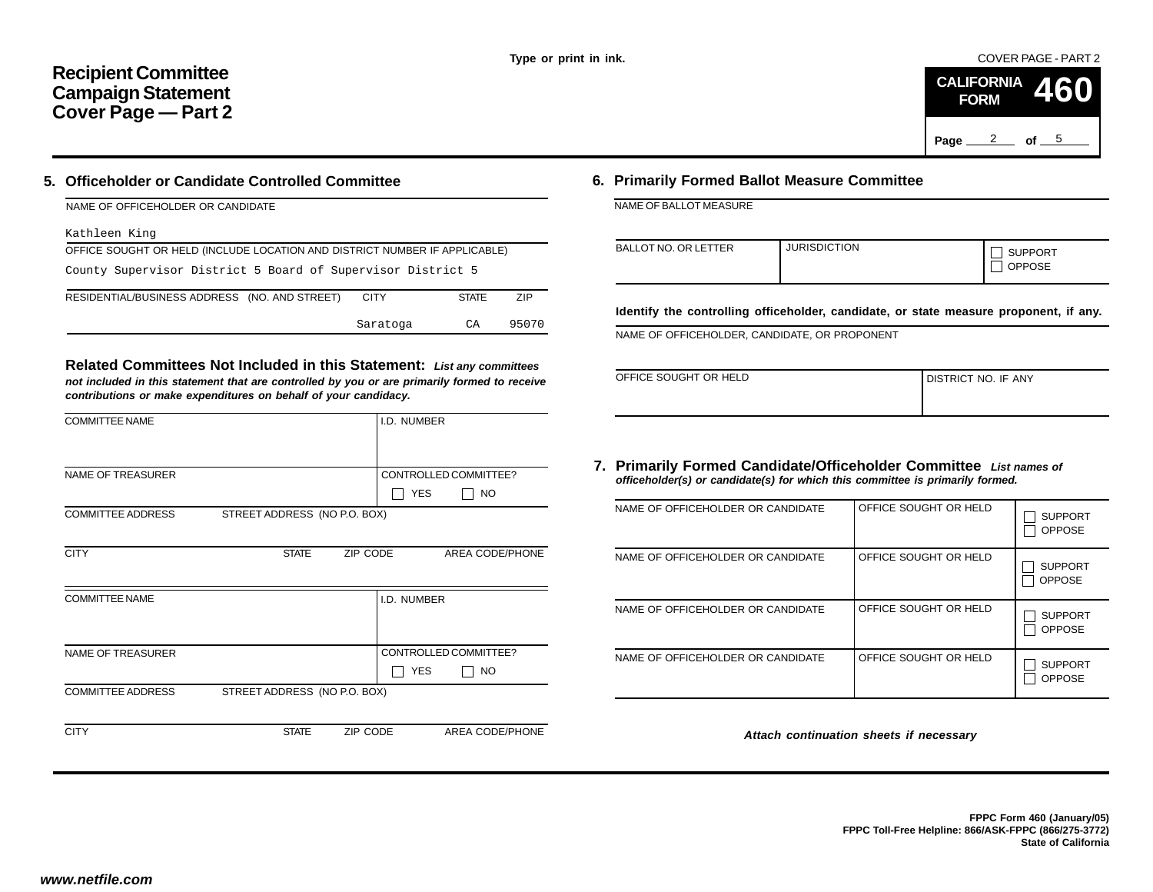COVER PAGE - PART 2



### **5. Officeholder or Candidate Controlled Committee**

#### Kathleen King

| OFFICE SOUGHT OR HELD (INCLUDE LOCATION AND DISTRICT NUMBER IF APPLICABLE) |             |              |            |  |  |  |  |  |
|----------------------------------------------------------------------------|-------------|--------------|------------|--|--|--|--|--|
| County Supervisor District 5 Board of Supervisor District 5                |             |              |            |  |  |  |  |  |
| RESIDENTIAL/BUSINESS ADDRESS (NO. AND STREET)                              | <b>CITY</b> | <b>STATE</b> | <b>ZIP</b> |  |  |  |  |  |
|                                                                            | Saratoga    | CA           | 95070      |  |  |  |  |  |

|                                                                                                                                                                                                                                           |                                                  |                                                                                                                                                                                          |                     |                                            | Page                  | 2<br>of $ \frac{5}{2}$        |
|-------------------------------------------------------------------------------------------------------------------------------------------------------------------------------------------------------------------------------------------|--------------------------------------------------|------------------------------------------------------------------------------------------------------------------------------------------------------------------------------------------|---------------------|--------------------------------------------|-----------------------|-------------------------------|
| Officeholder or Candidate Controlled Committee                                                                                                                                                                                            |                                                  | 6. Primarily Formed Ballot Measure Committee                                                                                                                                             |                     |                                            |                       |                               |
| NAME OF OFFICEHOLDER OR CANDIDATE                                                                                                                                                                                                         |                                                  | NAME OF BALLOT MEASURE                                                                                                                                                                   |                     |                                            |                       |                               |
| Kathleen King                                                                                                                                                                                                                             |                                                  |                                                                                                                                                                                          |                     |                                            |                       |                               |
| OFFICE SOUGHT OR HELD (INCLUDE LOCATION AND DISTRICT NUMBER IF APPLICABLE)<br>County Supervisor District 5 Board of Supervisor District 5                                                                                                 |                                                  | <b>BALLOT NO. OR LETTER</b>                                                                                                                                                              | <b>JURISDICTION</b> |                                            |                       | <b>SUPPORT</b><br>OPPOSE      |
| RESIDENTIAL/BUSINESS ADDRESS (NO. AND STREET)                                                                                                                                                                                             | <b>CITY</b><br><b>STATE</b><br>ZIP               | Identify the controlling officeholder, candidate, or state measure proponent,                                                                                                            |                     |                                            |                       |                               |
|                                                                                                                                                                                                                                           | CA<br>95070<br>Saratoga                          | NAME OF OFFICEHOLDER, CANDIDATE, OR PROPONENT                                                                                                                                            |                     |                                            |                       |                               |
| Related Committees Not Included in this Statement: List any committees<br>not included in this statement that are controlled by you or are primarily formed to receive<br>contributions or make expenditures on behalf of your candidacy. |                                                  | OFFICE SOUGHT OR HELD                                                                                                                                                                    |                     |                                            | DISTRICT NO. IF ANY   |                               |
| <b>COMMITTEE NAME</b>                                                                                                                                                                                                                     | I.D. NUMBER                                      |                                                                                                                                                                                          |                     |                                            |                       |                               |
| NAME OF TREASURER                                                                                                                                                                                                                         | CONTROLLED COMMITTEE?<br>$\Box$ Yes<br>$\Box$ NO | 7. Primarily Formed Candidate/Officeholder Committee List names of<br>officeholder(s) or candidate(s) for which this committee is primarily formed.<br>NAME OF OFFICEHOLDER OR CANDIDATE |                     |                                            | OFFICE SOUGHT OR HELD |                               |
| <b>COMMITTEE ADDRESS</b><br>STREET ADDRESS (NO P.O. BOX)                                                                                                                                                                                  |                                                  |                                                                                                                                                                                          |                     |                                            |                       | $\Box$ SUF<br>$\Box$ OPF      |
| <b>CITY</b><br><b>STATE</b>                                                                                                                                                                                                               | ZIP CODE<br>AREA CODE/PHONE                      | NAME OF OFFICEHOLDER OR CANDIDATE                                                                                                                                                        |                     |                                            | OFFICE SOUGHT OR HELD | $\Box$ SUP<br>$\Box$ OPP      |
| <b>COMMITTEE NAME</b>                                                                                                                                                                                                                     | I.D. NUMBER                                      | NAME OF OFFICEHOLDER OR CANDIDATE                                                                                                                                                        |                     |                                            | OFFICE SOUGHT OR HELD | $\Box$ SUP<br>$\Box$ OPF      |
| NAME OF TREASURER                                                                                                                                                                                                                         | CONTROLLED COMMITTEE?<br>$\Box$ Yes<br>$\Box$ No | NAME OF OFFICEHOLDER OR CANDIDATE                                                                                                                                                        |                     |                                            | OFFICE SOUGHT OR HELD | $\Box$ suf<br>$\Box$ OPF      |
| STREET ADDRESS (NO P.O. BOX)<br><b>COMMITTEE ADDRESS</b>                                                                                                                                                                                  |                                                  |                                                                                                                                                                                          |                     |                                            |                       |                               |
| <b>CITY</b><br><b>STATE</b>                                                                                                                                                                                                               | AREA CODE/PHONE<br>ZIP CODE                      |                                                                                                                                                                                          |                     | Attach continuation sheets if necessary    |                       |                               |
|                                                                                                                                                                                                                                           |                                                  |                                                                                                                                                                                          |                     |                                            |                       |                               |
|                                                                                                                                                                                                                                           |                                                  |                                                                                                                                                                                          |                     | FPPC Toll-Free Helpline: 866/ASK-FPPC (866 |                       | FPPC Form 460 (Ja<br>State of |
| w.netfile.com/                                                                                                                                                                                                                            |                                                  |                                                                                                                                                                                          |                     |                                            |                       |                               |

## **6. Primarily Formed Ballot Measure Committee**

| <b>BALLOT NO. OR LETTER</b> | <b>JURISDICTION</b> | <b>SUPPORT</b><br><b>OPPOSE</b> |
|-----------------------------|---------------------|---------------------------------|
|-----------------------------|---------------------|---------------------------------|

**Identify the controlling officeholder, candidate, or state measure proponent, if any.**

| OFFICE SOUGHT OR HELD | I DISTRICT NO. IF ANY |
|-----------------------|-----------------------|
|                       |                       |

#### **7. Primarily Formed Candidate/Officeholder Committee** *List names of officeholder(s) or candidate(s) for which this committee is primarily formed.*

| NAME OF OFFICEHOLDER OR CANDIDATE | OFFICE SOUGHT OR HELD | <b>SUPPORT</b><br><b>OPPOSE</b> |
|-----------------------------------|-----------------------|---------------------------------|
| NAME OF OFFICEHOLDER OR CANDIDATE | OFFICE SOUGHT OR HELD | <b>SUPPORT</b><br><b>OPPOSE</b> |
| NAME OF OFFICEHOLDER OR CANDIDATE | OFFICE SOUGHT OR HELD | <b>SUPPORT</b><br><b>OPPOSE</b> |
| NAME OF OFFICEHOLDER OR CANDIDATE | OFFICE SOUGHT OR HELD | <b>SUPPORT</b><br><b>OPPOSE</b> |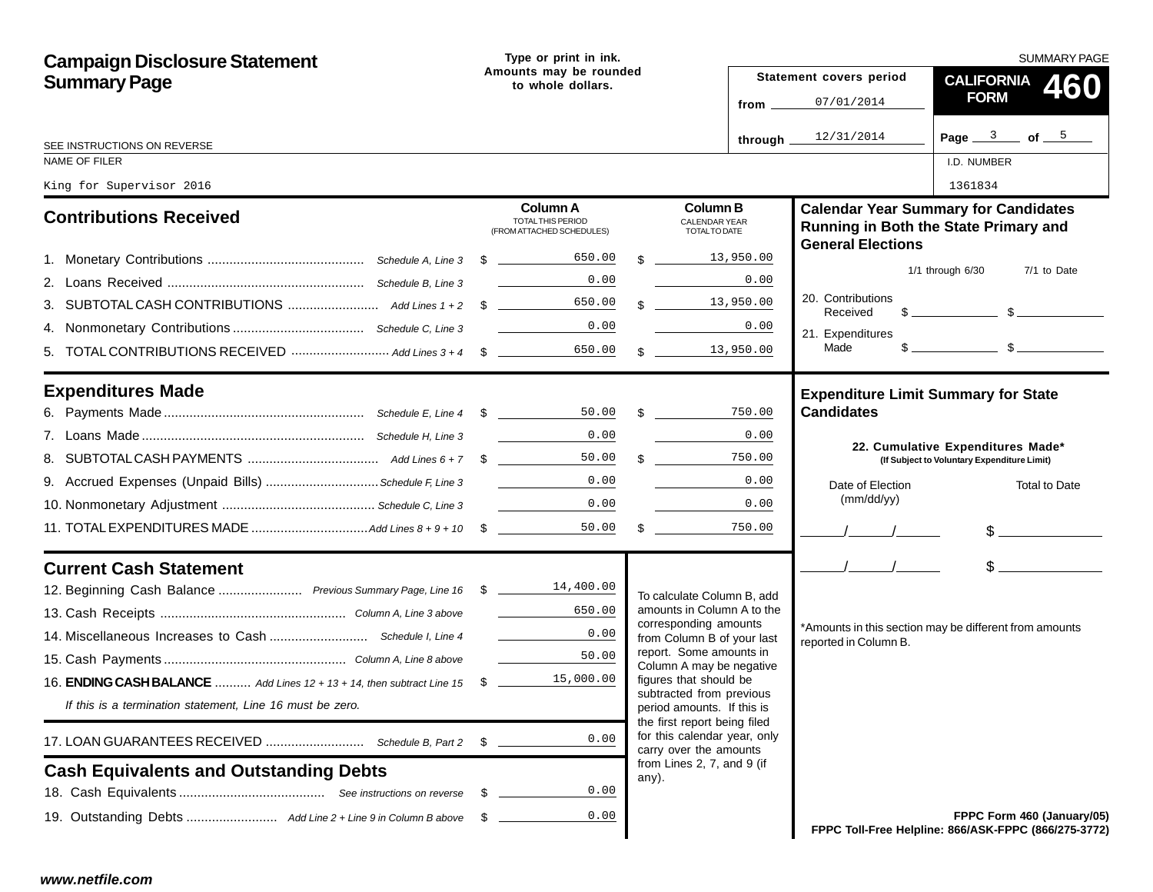| <b>Campaign Disclosure Statement</b>                                        |    | Type or print in ink.                                                                                                                                                  |  |                                                                                        |        | <b>SUMMARY PAGE</b>     |                                |                                                                                                                                                                                                                                                                                                                     |
|-----------------------------------------------------------------------------|----|------------------------------------------------------------------------------------------------------------------------------------------------------------------------|--|----------------------------------------------------------------------------------------|--------|-------------------------|--------------------------------|---------------------------------------------------------------------------------------------------------------------------------------------------------------------------------------------------------------------------------------------------------------------------------------------------------------------|
| <b>Summary Page</b>                                                         |    | Amounts may be rounded<br>to whole dollars.                                                                                                                            |  |                                                                                        |        | Statement covers period | <b>CALIFORNIA</b><br>460       |                                                                                                                                                                                                                                                                                                                     |
|                                                                             |    |                                                                                                                                                                        |  |                                                                                        |        | from $\_\_$             | 07/01/2014                     | <b>FORM</b>                                                                                                                                                                                                                                                                                                         |
|                                                                             |    |                                                                                                                                                                        |  |                                                                                        |        | through $\equiv$        | 12/31/2014                     | Page $3$ of $5$                                                                                                                                                                                                                                                                                                     |
| SEE INSTRUCTIONS ON REVERSE<br>NAME OF FILER                                |    |                                                                                                                                                                        |  |                                                                                        |        |                         |                                | I.D. NUMBER                                                                                                                                                                                                                                                                                                         |
| King for Supervisor 2016                                                    |    |                                                                                                                                                                        |  |                                                                                        |        |                         |                                | 1361834                                                                                                                                                                                                                                                                                                             |
| <b>Contributions Received</b>                                               |    | Column A<br>TOTAL THIS PERIOD<br>(FROM ATTACHED SCHEDULES)                                                                                                             |  | <b>Column B</b><br><b>CALENDAR YEAR</b><br>TOTAL TO DATE                               |        |                         | <b>General Elections</b>       | <b>Calendar Year Summary for Candidates</b><br>Running in Both the State Primary and                                                                                                                                                                                                                                |
|                                                                             |    | 650.00                                                                                                                                                                 |  | \$13,950.00                                                                            |        |                         |                                | 7/1 to Date<br>$1/1$ through $6/30$                                                                                                                                                                                                                                                                                 |
|                                                                             |    | 0.00                                                                                                                                                                   |  |                                                                                        | 0.00   |                         | 20. Contributions              |                                                                                                                                                                                                                                                                                                                     |
|                                                                             |    | 650.00                                                                                                                                                                 |  | $\frac{13,950.00}{2}$                                                                  |        |                         | Received                       | $\frac{1}{2}$ $\frac{1}{2}$ $\frac{1}{2}$ $\frac{1}{2}$ $\frac{1}{2}$ $\frac{1}{2}$ $\frac{1}{2}$ $\frac{1}{2}$ $\frac{1}{2}$ $\frac{1}{2}$ $\frac{1}{2}$ $\frac{1}{2}$ $\frac{1}{2}$ $\frac{1}{2}$ $\frac{1}{2}$ $\frac{1}{2}$ $\frac{1}{2}$ $\frac{1}{2}$ $\frac{1}{2}$ $\frac{1}{2}$ $\frac{1}{2}$ $\frac{1}{2}$ |
|                                                                             |    |                                                                                                                                                                        |  |                                                                                        | 0.00   |                         | 21. Expenditures               |                                                                                                                                                                                                                                                                                                                     |
|                                                                             |    | 650.00                                                                                                                                                                 |  | $\frac{13,950.00}{2}$                                                                  |        |                         | Made                           |                                                                                                                                                                                                                                                                                                                     |
| <b>Expenditures Made</b>                                                    |    |                                                                                                                                                                        |  |                                                                                        |        |                         |                                | <b>Expenditure Limit Summary for State</b>                                                                                                                                                                                                                                                                          |
|                                                                             |    |                                                                                                                                                                        |  | $50.00$ \$                                                                             | 750.00 |                         | <b>Candidates</b>              |                                                                                                                                                                                                                                                                                                                     |
|                                                                             |    | 0.00                                                                                                                                                                   |  |                                                                                        | 0.00   |                         |                                | 22. Cumulative Expenditures Made*                                                                                                                                                                                                                                                                                   |
|                                                                             |    | 50.00                                                                                                                                                                  |  | $\frac{1}{2}$                                                                          | 750.00 |                         |                                | (If Subject to Voluntary Expenditure Limit)                                                                                                                                                                                                                                                                         |
| 9. Accrued Expenses (Unpaid Bills)  Schedule F, Line 3                      |    | 0.00                                                                                                                                                                   |  |                                                                                        | 0.00   |                         | Date of Election<br>(mm/dd/yy) | Total to Date                                                                                                                                                                                                                                                                                                       |
|                                                                             |    | 0.00                                                                                                                                                                   |  |                                                                                        | 0.00   |                         |                                |                                                                                                                                                                                                                                                                                                                     |
|                                                                             |    | 50.00                                                                                                                                                                  |  | $\frac{1}{2}$                                                                          | 750.00 |                         |                                | $\frac{1}{2}$                                                                                                                                                                                                                                                                                                       |
| <b>Current Cash Statement</b>                                               |    |                                                                                                                                                                        |  |                                                                                        |        |                         | $\frac{1}{2}$                  | s                                                                                                                                                                                                                                                                                                                   |
| 12. Beginning Cash Balance  Previous Summary Page, Line 16 \$ 18 14, 400.00 |    |                                                                                                                                                                        |  | To calculate Column B, add                                                             |        |                         |                                |                                                                                                                                                                                                                                                                                                                     |
|                                                                             |    | 650.00<br>$\mathcal{L}^{\text{max}}_{\text{max}}$ , where $\mathcal{L}^{\text{max}}_{\text{max}}$                                                                      |  | amounts in Column A to the<br>corresponding amounts                                    |        |                         |                                |                                                                                                                                                                                                                                                                                                                     |
|                                                                             |    | $\label{eq:2.1} \frac{1}{\sqrt{2\pi}}\left(\frac{1}{\sqrt{2\pi}}\right)^{1/2}\left(\frac{1}{\sqrt{2\pi}}\right)^{1/2}\left(\frac{1}{\sqrt{2\pi}}\right)^{1/2}$<br>0.00 |  | from Column B of your last                                                             |        |                         | reported in Column B.          | *Amounts in this section may be different from amounts                                                                                                                                                                                                                                                              |
|                                                                             |    | 50.00                                                                                                                                                                  |  | report. Some amounts in<br>Column A may be negative                                    |        |                         |                                |                                                                                                                                                                                                                                                                                                                     |
| 16. ENDING CASH BALANCE  Add Lines 12 + 13 + 14, then subtract Line 15 \$   |    | 15,000.00                                                                                                                                                              |  | figures that should be<br>subtracted from previous                                     |        |                         |                                |                                                                                                                                                                                                                                                                                                                     |
| If this is a termination statement, Line 16 must be zero.                   |    |                                                                                                                                                                        |  | period amounts. If this is                                                             |        |                         |                                |                                                                                                                                                                                                                                                                                                                     |
|                                                                             |    | 0.00                                                                                                                                                                   |  | the first report being filed<br>for this calendar year, only<br>carry over the amounts |        |                         |                                |                                                                                                                                                                                                                                                                                                                     |
| <b>Cash Equivalents and Outstanding Debts</b>                               |    |                                                                                                                                                                        |  | from Lines 2, 7, and 9 (if<br>any).                                                    |        |                         |                                |                                                                                                                                                                                                                                                                                                                     |
|                                                                             | S. | 0.00                                                                                                                                                                   |  |                                                                                        |        |                         |                                |                                                                                                                                                                                                                                                                                                                     |
|                                                                             |    | 0.00                                                                                                                                                                   |  |                                                                                        |        |                         |                                | FPPC Form 460 (January/05)<br>FPPC Toll-Free Helpline: 866/ASK-FPPC (866/275-3772)                                                                                                                                                                                                                                  |
| www.netfile.com                                                             |    |                                                                                                                                                                        |  |                                                                                        |        |                         |                                |                                                                                                                                                                                                                                                                                                                     |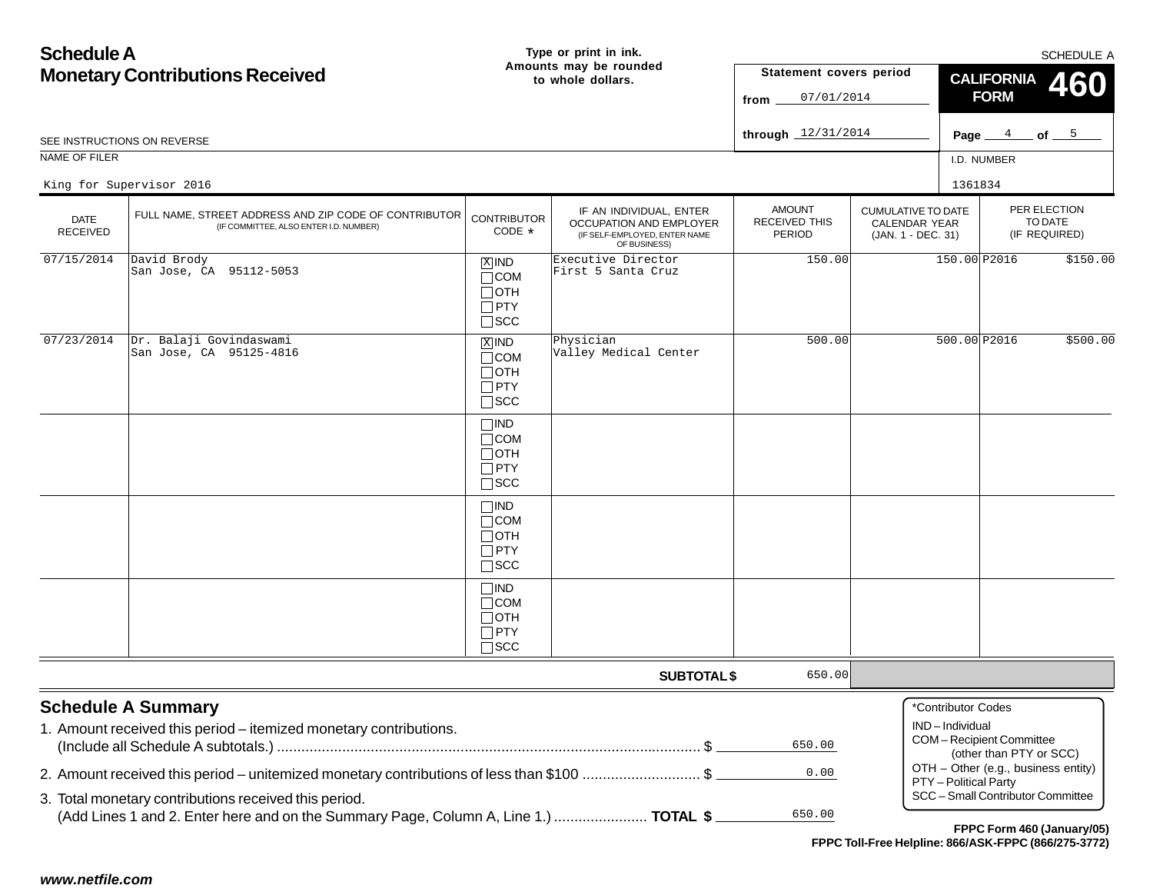| <b>Schedule A</b>                      |                                                                                                 |                                                                       | Type or print in ink.                                                                               |                                                        |                                                                         |                                      | SCHEDULE A                                         |                                     |  |  |
|----------------------------------------|-------------------------------------------------------------------------------------------------|-----------------------------------------------------------------------|-----------------------------------------------------------------------------------------------------|--------------------------------------------------------|-------------------------------------------------------------------------|--------------------------------------|----------------------------------------------------|-------------------------------------|--|--|
| <b>Monetary Contributions Received</b> |                                                                                                 |                                                                       | Amounts may be rounded<br>to whole dollars.                                                         | Statement covers period                                |                                                                         |                                      | <b>CALIFORNIA</b>                                  | 460                                 |  |  |
|                                        |                                                                                                 |                                                                       |                                                                                                     | 07/01/2014<br>from                                     | <b>FORM</b>                                                             |                                      |                                                    |                                     |  |  |
|                                        |                                                                                                 |                                                                       |                                                                                                     | through $12/31/2014$                                   |                                                                         |                                      |                                                    |                                     |  |  |
|                                        | SEE INSTRUCTIONS ON REVERSE                                                                     |                                                                       |                                                                                                     |                                                        |                                                                         |                                      |                                                    | Page $4$ of $5$                     |  |  |
| NAME OF FILER                          |                                                                                                 |                                                                       |                                                                                                     |                                                        |                                                                         | I.D. NUMBER                          |                                                    |                                     |  |  |
|                                        | King for Supervisor 2016                                                                        |                                                                       |                                                                                                     |                                                        |                                                                         | 1361834                              |                                                    |                                     |  |  |
| <b>DATE</b><br><b>RECEIVED</b>         | FULL NAME, STREET ADDRESS AND ZIP CODE OF CONTRIBUTOR<br>(IF COMMITTEE, ALSO ENTER I.D. NUMBER) | <b>CONTRIBUTOR</b><br>CODE *                                          | IF AN INDIVIDUAL, ENTER<br>OCCUPATION AND EMPLOYER<br>(IF SELF-EMPLOYED, ENTER NAME<br>OF BUSINESS) | <b>AMOUNT</b><br><b>RECEIVED THIS</b><br><b>PERIOD</b> | <b>CUMULATIVE TO DATE</b><br><b>CALENDAR YEAR</b><br>(JAN. 1 - DEC. 31) |                                      | PER ELECTION<br>TO DATE<br>(IF REQUIRED)           |                                     |  |  |
| 07/15/2014                             | David Brody<br>San Jose, CA 95112-5053                                                          | $X$ IND<br>$\Box$ COM<br>$\Box$ OTH<br>$\Box$ PTY<br>$\square$ SCC    | Executive Director<br>First 5 Santa Cruz                                                            | 150.00                                                 | 150.00 P2016                                                            |                                      | \$150.00                                           |                                     |  |  |
| 07/23/2014                             | Dr. Balaji Govindaswami<br>San Jose, CA 95125-4816                                              | $X$ IND<br>$\Box$ COM<br>$\Box$ OTH<br>$\Box$ PTY<br>$\square$ SCC    | Physician<br>Valley Medical Center                                                                  | 500.00                                                 |                                                                         | 500.00 P2016                         |                                                    | \$500.00                            |  |  |
|                                        |                                                                                                 | $\Box$ IND<br>$\Box$ COM<br>$\Box$ OTH<br>$\Box$ PTY<br>$\square$ SCC |                                                                                                     |                                                        |                                                                         |                                      |                                                    |                                     |  |  |
|                                        |                                                                                                 | $\Box$ IND<br>$\Box$ COM<br>$\Box$ OTH<br>$\Box$ PTY<br>$\square$ SCC |                                                                                                     |                                                        |                                                                         |                                      |                                                    |                                     |  |  |
|                                        |                                                                                                 | $\Box$ IND<br>$\Box$ COM<br>$\Box$ OTH<br>$\Box$ PTY<br>$\square$ SCC |                                                                                                     |                                                        |                                                                         |                                      |                                                    |                                     |  |  |
|                                        |                                                                                                 |                                                                       | <b>SUBTOTAL \$</b>                                                                                  | 650.00                                                 |                                                                         |                                      |                                                    |                                     |  |  |
|                                        | <b>Schedule A Summary</b><br>1. Amount received this period - itemized monetary contributions.  |                                                                       |                                                                                                     | 650.00                                                 |                                                                         | *Contributor Codes<br>IND-Individual | COM-Recipient Committee<br>(other than PTY or SCC) |                                     |  |  |
|                                        | 2. Amount received this period - unitemized monetary contributions of less than \$100 \$        |                                                                       |                                                                                                     | 0.00                                                   |                                                                         |                                      |                                                    | OTH - Other (e.g., business entity) |  |  |
|                                        | 3. Total monetary contributions received this period.                                           |                                                                       |                                                                                                     |                                                        |                                                                         | PTY - Political Party                |                                                    | SCC - Small Contributor Committee   |  |  |
|                                        | (Add Lines 1 and 2. Enter here and on the Summary Page, Column A, Line 1.)  TOTAL \$            |                                                                       |                                                                                                     | 650.00                                                 |                                                                         |                                      |                                                    | FPPC Form 460 (January/05)          |  |  |
|                                        |                                                                                                 |                                                                       |                                                                                                     |                                                        | FPPC Toll-Free Helpline: 866/ASK-FPPC (866/275-3772)                    |                                      |                                                    |                                     |  |  |
| www.netfile.com                        |                                                                                                 |                                                                       |                                                                                                     |                                                        |                                                                         |                                      |                                                    |                                     |  |  |
|                                        |                                                                                                 |                                                                       |                                                                                                     |                                                        |                                                                         |                                      |                                                    |                                     |  |  |